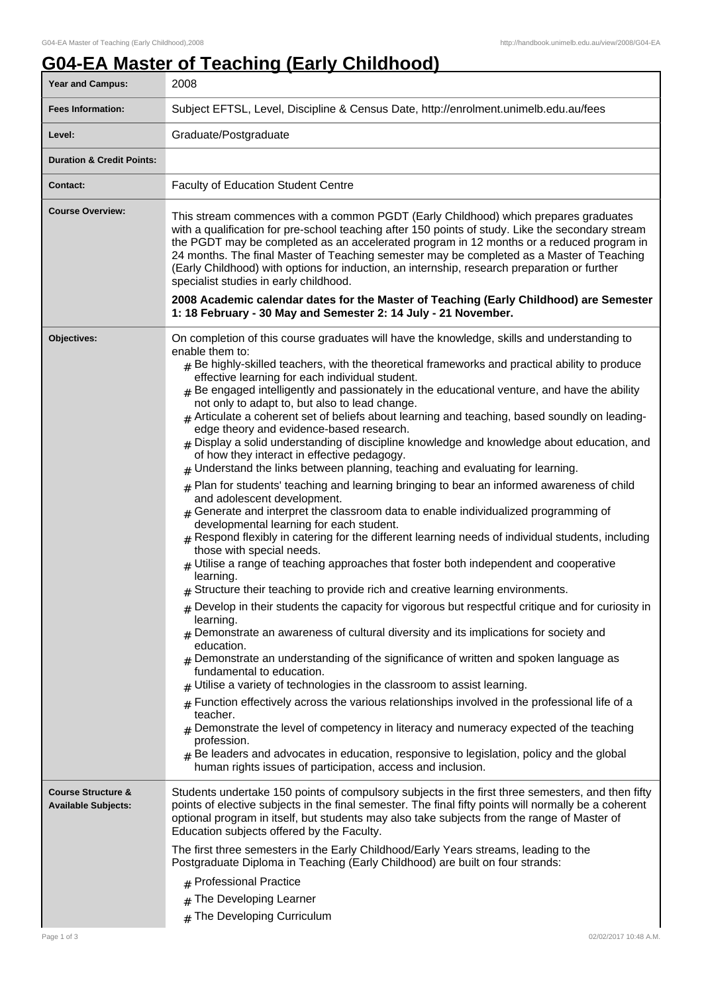## **G04-EA Master of Teaching (Early Childhood)**

| Year and Campus:                                            | 2008                                                                                                                                                                                                                                                                                                                                                                                                                                                                                                                                                                                                                                                                                                                                                                                                                                                                                                                                                                                                                                                                                                                                                                                                                                                                                                                                                                                                                                                                                                                                                                                                                                                                                                                                                                                                                                                                                                                                                                                                                                                                                                                                                                                                                                                              |
|-------------------------------------------------------------|-------------------------------------------------------------------------------------------------------------------------------------------------------------------------------------------------------------------------------------------------------------------------------------------------------------------------------------------------------------------------------------------------------------------------------------------------------------------------------------------------------------------------------------------------------------------------------------------------------------------------------------------------------------------------------------------------------------------------------------------------------------------------------------------------------------------------------------------------------------------------------------------------------------------------------------------------------------------------------------------------------------------------------------------------------------------------------------------------------------------------------------------------------------------------------------------------------------------------------------------------------------------------------------------------------------------------------------------------------------------------------------------------------------------------------------------------------------------------------------------------------------------------------------------------------------------------------------------------------------------------------------------------------------------------------------------------------------------------------------------------------------------------------------------------------------------------------------------------------------------------------------------------------------------------------------------------------------------------------------------------------------------------------------------------------------------------------------------------------------------------------------------------------------------------------------------------------------------------------------------------------------------|
| <b>Fees Information:</b>                                    | Subject EFTSL, Level, Discipline & Census Date, http://enrolment.unimelb.edu.au/fees                                                                                                                                                                                                                                                                                                                                                                                                                                                                                                                                                                                                                                                                                                                                                                                                                                                                                                                                                                                                                                                                                                                                                                                                                                                                                                                                                                                                                                                                                                                                                                                                                                                                                                                                                                                                                                                                                                                                                                                                                                                                                                                                                                              |
| Level:                                                      | Graduate/Postgraduate                                                                                                                                                                                                                                                                                                                                                                                                                                                                                                                                                                                                                                                                                                                                                                                                                                                                                                                                                                                                                                                                                                                                                                                                                                                                                                                                                                                                                                                                                                                                                                                                                                                                                                                                                                                                                                                                                                                                                                                                                                                                                                                                                                                                                                             |
| <b>Duration &amp; Credit Points:</b>                        |                                                                                                                                                                                                                                                                                                                                                                                                                                                                                                                                                                                                                                                                                                                                                                                                                                                                                                                                                                                                                                                                                                                                                                                                                                                                                                                                                                                                                                                                                                                                                                                                                                                                                                                                                                                                                                                                                                                                                                                                                                                                                                                                                                                                                                                                   |
| Contact:                                                    | <b>Faculty of Education Student Centre</b>                                                                                                                                                                                                                                                                                                                                                                                                                                                                                                                                                                                                                                                                                                                                                                                                                                                                                                                                                                                                                                                                                                                                                                                                                                                                                                                                                                                                                                                                                                                                                                                                                                                                                                                                                                                                                                                                                                                                                                                                                                                                                                                                                                                                                        |
| <b>Course Overview:</b>                                     | This stream commences with a common PGDT (Early Childhood) which prepares graduates<br>with a qualification for pre-school teaching after 150 points of study. Like the secondary stream<br>the PGDT may be completed as an accelerated program in 12 months or a reduced program in<br>24 months. The final Master of Teaching semester may be completed as a Master of Teaching<br>(Early Childhood) with options for induction, an internship, research preparation or further<br>specialist studies in early childhood.<br>2008 Academic calendar dates for the Master of Teaching (Early Childhood) are Semester<br>1: 18 February - 30 May and Semester 2: 14 July - 21 November.                                                                                                                                                                                                                                                                                                                                                                                                                                                                                                                                                                                                                                                                                                                                                                                                                                                                                                                                                                                                                                                                                                                                                                                                                                                                                                                                                                                                                                                                                                                                                                           |
|                                                             |                                                                                                                                                                                                                                                                                                                                                                                                                                                                                                                                                                                                                                                                                                                                                                                                                                                                                                                                                                                                                                                                                                                                                                                                                                                                                                                                                                                                                                                                                                                                                                                                                                                                                                                                                                                                                                                                                                                                                                                                                                                                                                                                                                                                                                                                   |
| Objectives:                                                 | On completion of this course graduates will have the knowledge, skills and understanding to<br>enable them to:<br>$_{\text{\#}}$ Be highly-skilled teachers, with the theoretical frameworks and practical ability to produce<br>effective learning for each individual student.<br>$#$ Be engaged intelligently and passionately in the educational venture, and have the ability<br>not only to adapt to, but also to lead change.<br>$#$ Articulate a coherent set of beliefs about learning and teaching, based soundly on leading-<br>edge theory and evidence-based research.<br>$#$ Display a solid understanding of discipline knowledge and knowledge about education, and<br>of how they interact in effective pedagogy.<br>$#$ Understand the links between planning, teaching and evaluating for learning.<br>$#$ Plan for students' teaching and learning bringing to bear an informed awareness of child<br>and adolescent development.<br>$_{\#}$ Generate and interpret the classroom data to enable individualized programming of<br>developmental learning for each student.<br>$_{\#}$ Respond flexibly in catering for the different learning needs of individual students, including<br>those with special needs.<br>$#$ Utilise a range of teaching approaches that foster both independent and cooperative<br>learning.<br>$#$ Structure their teaching to provide rich and creative learning environments.<br>$#$ Develop in their students the capacity for vigorous but respectful critique and for curiosity in<br>learning.<br>$#$ Demonstrate an awareness of cultural diversity and its implications for society and<br>education.<br>$_{\#}$ Demonstrate an understanding of the significance of written and spoken language as<br>fundamental to education.<br>$#$ Utilise a variety of technologies in the classroom to assist learning.<br>Function effectively across the various relationships involved in the professional life of a<br>#<br>teacher.<br>Demonstrate the level of competency in literacy and numeracy expected of the teaching<br>profession.<br>Be leaders and advocates in education, responsive to legislation, policy and the global<br>#<br>human rights issues of participation, access and inclusion. |
| <b>Course Structure &amp;</b><br><b>Available Subjects:</b> | Students undertake 150 points of compulsory subjects in the first three semesters, and then fifty<br>points of elective subjects in the final semester. The final fifty points will normally be a coherent<br>optional program in itself, but students may also take subjects from the range of Master of<br>Education subjects offered by the Faculty.                                                                                                                                                                                                                                                                                                                                                                                                                                                                                                                                                                                                                                                                                                                                                                                                                                                                                                                                                                                                                                                                                                                                                                                                                                                                                                                                                                                                                                                                                                                                                                                                                                                                                                                                                                                                                                                                                                           |
|                                                             | The first three semesters in the Early Childhood/Early Years streams, leading to the<br>Postgraduate Diploma in Teaching (Early Childhood) are built on four strands:                                                                                                                                                                                                                                                                                                                                                                                                                                                                                                                                                                                                                                                                                                                                                                                                                                                                                                                                                                                                                                                                                                                                                                                                                                                                                                                                                                                                                                                                                                                                                                                                                                                                                                                                                                                                                                                                                                                                                                                                                                                                                             |
|                                                             | # Professional Practice                                                                                                                                                                                                                                                                                                                                                                                                                                                                                                                                                                                                                                                                                                                                                                                                                                                                                                                                                                                                                                                                                                                                                                                                                                                                                                                                                                                                                                                                                                                                                                                                                                                                                                                                                                                                                                                                                                                                                                                                                                                                                                                                                                                                                                           |
|                                                             | The Developing Learner<br>#                                                                                                                                                                                                                                                                                                                                                                                                                                                                                                                                                                                                                                                                                                                                                                                                                                                                                                                                                                                                                                                                                                                                                                                                                                                                                                                                                                                                                                                                                                                                                                                                                                                                                                                                                                                                                                                                                                                                                                                                                                                                                                                                                                                                                                       |
|                                                             | The Developing Curriculum<br>#                                                                                                                                                                                                                                                                                                                                                                                                                                                                                                                                                                                                                                                                                                                                                                                                                                                                                                                                                                                                                                                                                                                                                                                                                                                                                                                                                                                                                                                                                                                                                                                                                                                                                                                                                                                                                                                                                                                                                                                                                                                                                                                                                                                                                                    |
| Page 1 of 3                                                 | 02/02/2017 10:48 A.M.                                                                                                                                                                                                                                                                                                                                                                                                                                                                                                                                                                                                                                                                                                                                                                                                                                                                                                                                                                                                                                                                                                                                                                                                                                                                                                                                                                                                                                                                                                                                                                                                                                                                                                                                                                                                                                                                                                                                                                                                                                                                                                                                                                                                                                             |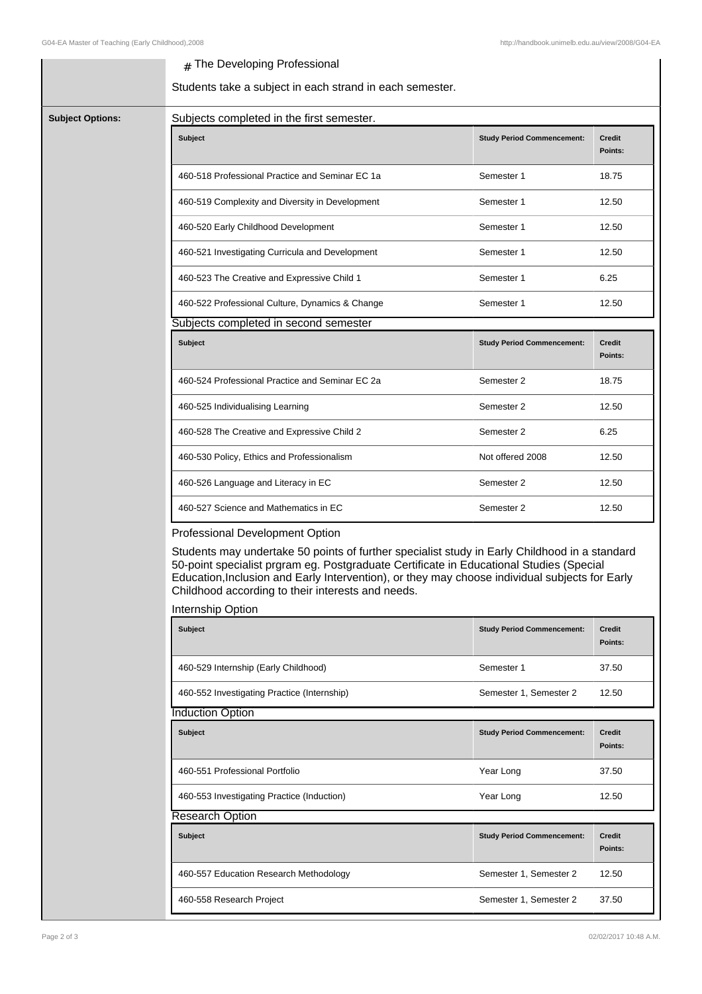## # The Developing Professional

Students take a subject in each strand in each semester.

|  | <b>Subject</b>                                    | <b>Study Period Commencement:</b>                                                                                                                                                                                                                                                          | Credit<br>Points:        |  |  |  |  |
|--|---------------------------------------------------|--------------------------------------------------------------------------------------------------------------------------------------------------------------------------------------------------------------------------------------------------------------------------------------------|--------------------------|--|--|--|--|
|  | 460-518 Professional Practice and Seminar EC 1a   | Semester 1                                                                                                                                                                                                                                                                                 | 18.75                    |  |  |  |  |
|  | 460-519 Complexity and Diversity in Development   | Semester 1                                                                                                                                                                                                                                                                                 | 12.50                    |  |  |  |  |
|  | 460-520 Early Childhood Development               | Semester 1                                                                                                                                                                                                                                                                                 | 12.50                    |  |  |  |  |
|  | 460-521 Investigating Curricula and Development   | Semester 1                                                                                                                                                                                                                                                                                 | 12.50                    |  |  |  |  |
|  | 460-523 The Creative and Expressive Child 1       | Semester 1                                                                                                                                                                                                                                                                                 | 6.25                     |  |  |  |  |
|  | 460-522 Professional Culture, Dynamics & Change   | Semester 1                                                                                                                                                                                                                                                                                 | 12.50                    |  |  |  |  |
|  |                                                   | Subjects completed in second semester                                                                                                                                                                                                                                                      |                          |  |  |  |  |
|  | Subject                                           | <b>Study Period Commencement:</b>                                                                                                                                                                                                                                                          | <b>Credit</b><br>Points: |  |  |  |  |
|  | 460-524 Professional Practice and Seminar EC 2a   | Semester 2                                                                                                                                                                                                                                                                                 | 18.75                    |  |  |  |  |
|  | 460-525 Individualising Learning                  | Semester 2                                                                                                                                                                                                                                                                                 | 12.50                    |  |  |  |  |
|  | 460-528 The Creative and Expressive Child 2       | Semester 2                                                                                                                                                                                                                                                                                 | 6.25                     |  |  |  |  |
|  | 460-530 Policy, Ethics and Professionalism        | Not offered 2008                                                                                                                                                                                                                                                                           | 12.50                    |  |  |  |  |
|  | 460-526 Language and Literacy in EC               | Semester 2                                                                                                                                                                                                                                                                                 | 12.50                    |  |  |  |  |
|  | 460-527 Science and Mathematics in EC             | Semester 2                                                                                                                                                                                                                                                                                 | 12.50                    |  |  |  |  |
|  | Professional Development Option                   |                                                                                                                                                                                                                                                                                            |                          |  |  |  |  |
|  | Childhood according to their interests and needs. | Students may undertake 50 points of further specialist study in Early Childhood in a standard<br>50-point specialist prgram eg. Postgraduate Certificate in Educational Studies (Special<br>Education, Inclusion and Early Intervention), or they may choose individual subjects for Early |                          |  |  |  |  |
|  |                                                   |                                                                                                                                                                                                                                                                                            |                          |  |  |  |  |

| Subject                                     | <b>Study Period Commencement:</b> | <b>Credit</b><br>Points: |  |  |
|---------------------------------------------|-----------------------------------|--------------------------|--|--|
| 460-529 Internship (Early Childhood)        | Semester 1                        | 37.50                    |  |  |
| 460-552 Investigating Practice (Internship) | Semester 1, Semester 2            | 12.50                    |  |  |
| <b>Induction Option</b>                     |                                   |                          |  |  |
| <b>Subject</b>                              | <b>Study Period Commencement:</b> | Credit<br>Points:        |  |  |
| 460-551 Professional Portfolio              | Year Long                         | 37.50                    |  |  |
| 460-553 Investigating Practice (Induction)  | Year Long                         | 12.50                    |  |  |
| <b>Research Option</b>                      |                                   |                          |  |  |
| <b>Subject</b>                              | <b>Study Period Commencement:</b> | Credit<br>Points:        |  |  |
| 460-557 Education Research Methodology      | Semester 1, Semester 2            | 12.50                    |  |  |
| 460-558 Research Project                    | Semester 1, Semester 2            | 37.50                    |  |  |